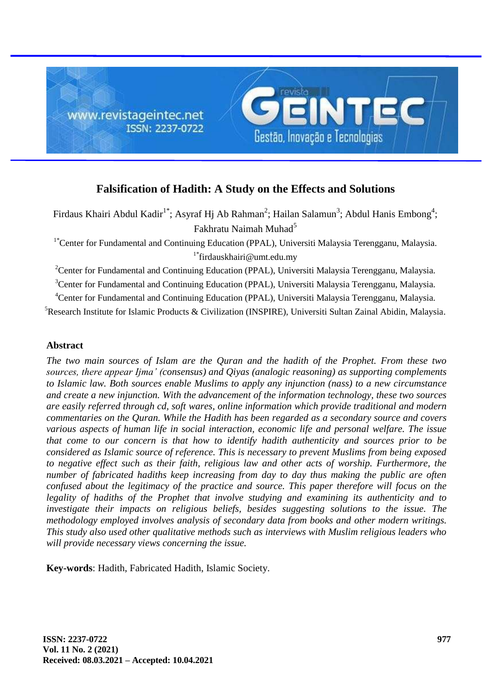

# **Falsification of Hadith: A Study on the Effects and Solutions**

Firdaus Khairi Abdul Kadir<sup>1\*</sup>; Asyraf Hj Ab Rahman<sup>2</sup>; Hailan Salamun<sup>3</sup>; Abdul Hanis Embong<sup>4</sup>; Fakhratu Naimah Muhad<sup>5</sup>

<sup>1\*</sup>Center for Fundamental and Continuing Education (PPAL), Universiti Malaysia Terengganu, Malaysia. 1\*firdauskhairi@umt.edu.my

<sup>2</sup>Center for Fundamental and Continuing Education (PPAL), Universiti Malaysia Terengganu, Malaysia.

<sup>3</sup>Center for Fundamental and Continuing Education (PPAL), Universiti Malaysia Terengganu, Malaysia.

<sup>4</sup>Center for Fundamental and Continuing Education (PPAL), Universiti Malaysia Terengganu, Malaysia.

<sup>5</sup>Research Institute for Islamic Products & Civilization (INSPIRE), Universiti Sultan Zainal Abidin, Malaysia.

# **Abstract**

*The two main sources of Islam are the Quran and the hadith of the Prophet. From these two sources, there appear Ijma' (consensus) and Qiyas (analogic reasoning) as supporting complements to Islamic law. Both sources enable Muslims to apply any injunction (nass) to a new circumstance and create a new injunction. With the advancement of the information technology, these two sources are easily referred through cd, soft wares, online information which provide traditional and modern commentaries on the Quran. While the Hadith has been regarded as a secondary source and covers various aspects of human life in social interaction, economic life and personal welfare. The issue that come to our concern is that how to identify hadith authenticity and sources prior to be considered as Islamic source of reference. This is necessary to prevent Muslims from being exposed to negative effect such as their faith, religious law and other acts of worship. Furthermore, the number of fabricated hadiths keep increasing from day to day thus making the public are often confused about the legitimacy of the practice and source. This paper therefore will focus on the legality of hadiths of the Prophet that involve studying and examining its authenticity and to investigate their impacts on religious beliefs, besides suggesting solutions to the issue. The methodology employed involves analysis of secondary data from books and other modern writings. This study also used other qualitative methods such as interviews with Muslim religious leaders who will provide necessary views concerning the issue.*

**Key-words**: Hadith, Fabricated Hadith, Islamic Society.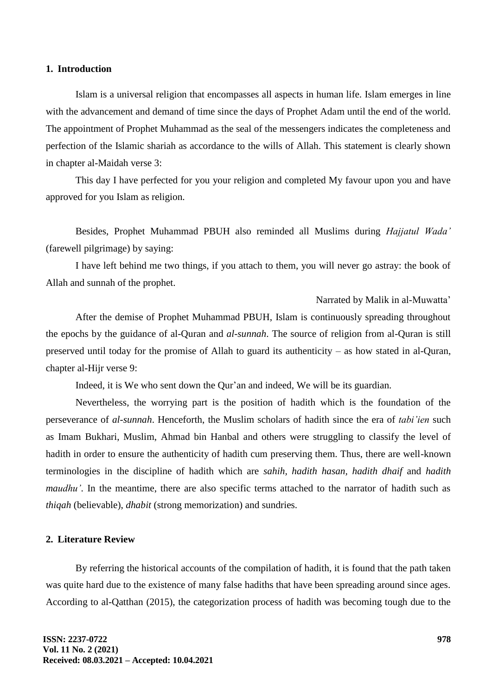#### **1. Introduction**

Islam is a universal religion that encompasses all aspects in human life. Islam emerges in line with the advancement and demand of time since the days of Prophet Adam until the end of the world. The appointment of Prophet Muhammad as the seal of the messengers indicates the completeness and perfection of the Islamic shariah as accordance to the wills of Allah. This statement is clearly shown in chapter al-Maidah verse 3:

This day I have perfected for you your religion and completed My favour upon you and have approved for you Islam as religion.

Besides, Prophet Muhammad PBUH also reminded all Muslims during *Hajjatul Wada'*  (farewell pilgrimage) by saying:

I have left behind me two things, if you attach to them, you will never go astray: the book of Allah and sunnah of the prophet.

Narrated by Malik in al-Muwatta'

After the demise of Prophet Muhammad PBUH, Islam is continuously spreading throughout the epochs by the guidance of al-Quran and *al*-*sunnah*. The source of religion from al-Quran is still preserved until today for the promise of Allah to guard its authenticity – as how stated in al-Quran, chapter al-Hijr verse 9:

Indeed, it is We who sent down the Qur'an and indeed, We will be its guardian.

Nevertheless, the worrying part is the position of hadith which is the foundation of the perseverance of *al-sunnah*. Henceforth, the Muslim scholars of hadith since the era of *tabi'ien* such as Imam Bukhari, Muslim, Ahmad bin Hanbal and others were struggling to classify the level of hadith in order to ensure the authenticity of hadith cum preserving them. Thus, there are well-known terminologies in the discipline of hadith which are *sahih, hadith hasan, hadith dhaif* and *hadith maudhu'*. In the meantime, there are also specific terms attached to the narrator of hadith such as *thiqah* (believable), *dhabit* (strong memorization) and sundries.

# **2. Literature Review**

By referring the historical accounts of the compilation of hadith, it is found that the path taken was quite hard due to the existence of many false hadiths that have been spreading around since ages. According to al-Qatthan (2015), the categorization process of hadith was becoming tough due to the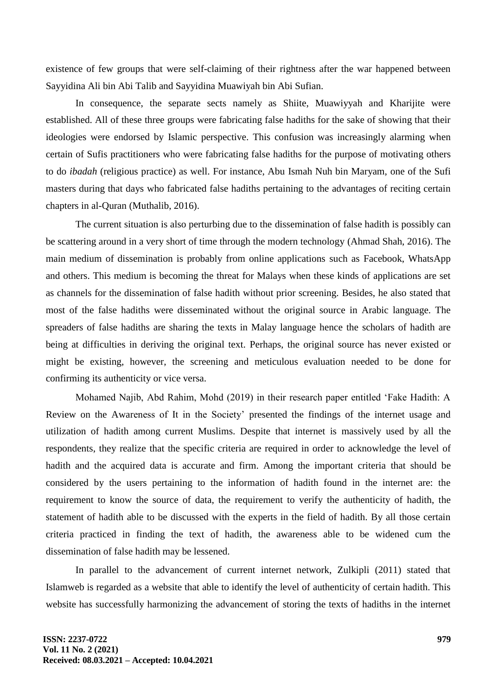existence of few groups that were self-claiming of their rightness after the war happened between Sayyidina Ali bin Abi Talib and Sayyidina Muawiyah bin Abi Sufian.

In consequence, the separate sects namely as Shiite, Muawiyyah and Kharijite were established. All of these three groups were fabricating false hadiths for the sake of showing that their ideologies were endorsed by Islamic perspective. This confusion was increasingly alarming when certain of Sufis practitioners who were fabricating false hadiths for the purpose of motivating others to do *ibadah* (religious practice) as well. For instance, Abu Ismah Nuh bin Maryam, one of the Sufi masters during that days who fabricated false hadiths pertaining to the advantages of reciting certain chapters in al-Quran (Muthalib, 2016).

The current situation is also perturbing due to the dissemination of false hadith is possibly can be scattering around in a very short of time through the modern technology (Ahmad Shah, 2016). The main medium of dissemination is probably from online applications such as Facebook, WhatsApp and others. This medium is becoming the threat for Malays when these kinds of applications are set as channels for the dissemination of false hadith without prior screening. Besides, he also stated that most of the false hadiths were disseminated without the original source in Arabic language. The spreaders of false hadiths are sharing the texts in Malay language hence the scholars of hadith are being at difficulties in deriving the original text. Perhaps, the original source has never existed or might be existing, however, the screening and meticulous evaluation needed to be done for confirming its authenticity or vice versa.

Mohamed Najib, Abd Rahim, Mohd (2019) in their research paper entitled "Fake Hadith: A Review on the Awareness of It in the Society" presented the findings of the internet usage and utilization of hadith among current Muslims. Despite that internet is massively used by all the respondents, they realize that the specific criteria are required in order to acknowledge the level of hadith and the acquired data is accurate and firm. Among the important criteria that should be considered by the users pertaining to the information of hadith found in the internet are: the requirement to know the source of data, the requirement to verify the authenticity of hadith, the statement of hadith able to be discussed with the experts in the field of hadith. By all those certain criteria practiced in finding the text of hadith, the awareness able to be widened cum the dissemination of false hadith may be lessened.

In parallel to the advancement of current internet network, Zulkipli (2011) stated that Islamweb is regarded as a website that able to identify the level of authenticity of certain hadith. This website has successfully harmonizing the advancement of storing the texts of hadiths in the internet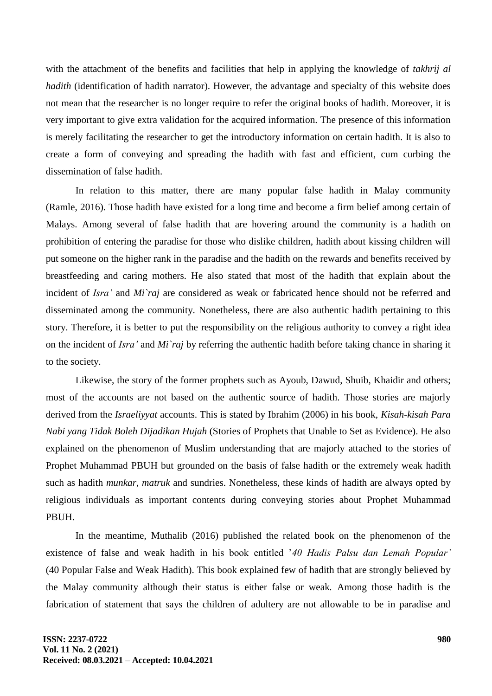with the attachment of the benefits and facilities that help in applying the knowledge of *takhrij al hadith* (identification of hadith narrator). However, the advantage and specialty of this website does not mean that the researcher is no longer require to refer the original books of hadith. Moreover, it is very important to give extra validation for the acquired information. The presence of this information is merely facilitating the researcher to get the introductory information on certain hadith. It is also to create a form of conveying and spreading the hadith with fast and efficient, cum curbing the dissemination of false hadith.

In relation to this matter, there are many popular false hadith in Malay community (Ramle, 2016). Those hadith have existed for a long time and become a firm belief among certain of Malays. Among several of false hadith that are hovering around the community is a hadith on prohibition of entering the paradise for those who dislike children, hadith about kissing children will put someone on the higher rank in the paradise and the hadith on the rewards and benefits received by breastfeeding and caring mothers. He also stated that most of the hadith that explain about the incident of *Isra'* and *Mi`raj* are considered as weak or fabricated hence should not be referred and disseminated among the community. Nonetheless, there are also authentic hadith pertaining to this story. Therefore, it is better to put the responsibility on the religious authority to convey a right idea on the incident of *Isra'* and *Mi`raj* by referring the authentic hadith before taking chance in sharing it to the society.

Likewise, the story of the former prophets such as Ayoub, Dawud, Shuib, Khaidir and others; most of the accounts are not based on the authentic source of hadith. Those stories are majorly derived from the *Israeliyyat* accounts. This is stated by Ibrahim (2006) in his book, *Kisah-kisah Para Nabi yang Tidak Boleh Dijadikan Hujah* (Stories of Prophets that Unable to Set as Evidence). He also explained on the phenomenon of Muslim understanding that are majorly attached to the stories of Prophet Muhammad PBUH but grounded on the basis of false hadith or the extremely weak hadith such as hadith *munkar*, *matruk* and sundries. Nonetheless, these kinds of hadith are always opted by religious individuals as important contents during conveying stories about Prophet Muhammad PBUH.

In the meantime, Muthalib (2016) published the related book on the phenomenon of the existence of false and weak hadith in his book entitled "*40 Hadis Palsu dan Lemah Popular'*  (40 Popular False and Weak Hadith). This book explained few of hadith that are strongly believed by the Malay community although their status is either false or weak*.* Among those hadith is the fabrication of statement that says the children of adultery are not allowable to be in paradise and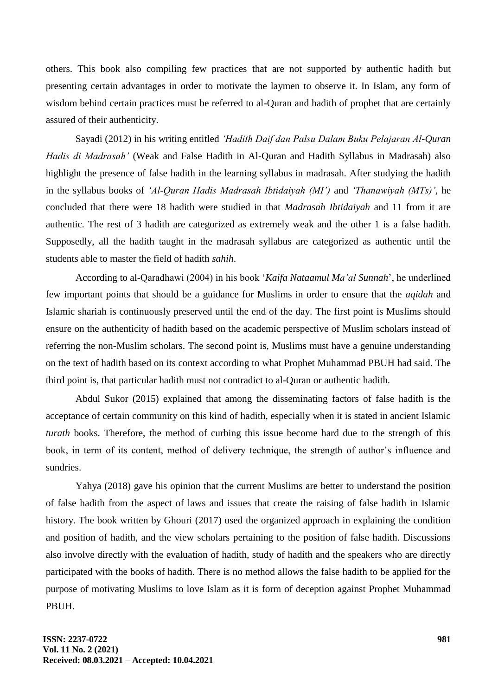others. This book also compiling few practices that are not supported by authentic hadith but presenting certain advantages in order to motivate the laymen to observe it. In Islam, any form of wisdom behind certain practices must be referred to al-Quran and hadith of prophet that are certainly assured of their authenticity.

Sayadi (2012) in his writing entitled *'Hadith Daif dan Palsu Dalam Buku Pelajaran Al-Quran Hadis di Madrasah'* (Weak and False Hadith in Al-Quran and Hadith Syllabus in Madrasah) also highlight the presence of false hadith in the learning syllabus in madrasah. After studying the hadith in the syllabus books of *'Al-Quran Hadis Madrasah Ibtidaiyah (MI')* and *'Thanawiyah (MTs)'*, he concluded that there were 18 hadith were studied in that *Madrasah Ibtidaiyah* and 11 from it are authentic*.* The rest of 3 hadith are categorized as extremely weak and the other 1 is a false hadith. Supposedly, all the hadith taught in the madrasah syllabus are categorized as authentic until the students able to master the field of hadith *sahih*.

According to al-Qaradhawi (2004) in his book "*Kaifa Nataamul Ma'al Sunnah*", he underlined few important points that should be a guidance for Muslims in order to ensure that the *aqidah* and Islamic shariah is continuously preserved until the end of the day. The first point is Muslims should ensure on the authenticity of hadith based on the academic perspective of Muslim scholars instead of referring the non-Muslim scholars. The second point is, Muslims must have a genuine understanding on the text of hadith based on its context according to what Prophet Muhammad PBUH had said. The third point is, that particular hadith must not contradict to al-Quran or authentic hadith*.*

Abdul Sukor (2015) explained that among the disseminating factors of false hadith is the acceptance of certain community on this kind of hadith, especially when it is stated in ancient Islamic *turath* books. Therefore, the method of curbing this issue become hard due to the strength of this book, in term of its content, method of delivery technique, the strength of author's influence and sundries.

Yahya (2018) gave his opinion that the current Muslims are better to understand the position of false hadith from the aspect of laws and issues that create the raising of false hadith in Islamic history. The book written by Ghouri (2017) used the organized approach in explaining the condition and position of hadith, and the view scholars pertaining to the position of false hadith. Discussions also involve directly with the evaluation of hadith, study of hadith and the speakers who are directly participated with the books of hadith. There is no method allows the false hadith to be applied for the purpose of motivating Muslims to love Islam as it is form of deception against Prophet Muhammad PBUH.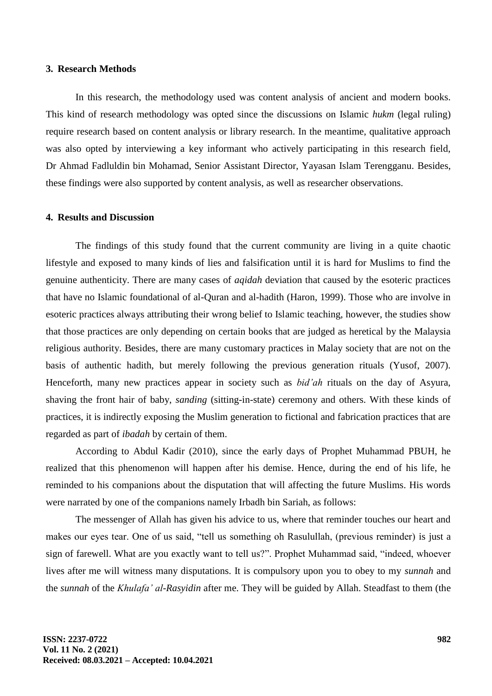#### **3. Research Methods**

In this research, the methodology used was content analysis of ancient and modern books. This kind of research methodology was opted since the discussions on Islamic *hukm* (legal ruling) require research based on content analysis or library research. In the meantime, qualitative approach was also opted by interviewing a key informant who actively participating in this research field, Dr Ahmad Fadluldin bin Mohamad, Senior Assistant Director, Yayasan Islam Terengganu. Besides, these findings were also supported by content analysis, as well as researcher observations.

# **4. Results and Discussion**

The findings of this study found that the current community are living in a quite chaotic lifestyle and exposed to many kinds of lies and falsification until it is hard for Muslims to find the genuine authenticity. There are many cases of *aqidah* deviation that caused by the esoteric practices that have no Islamic foundational of al-Quran and al-hadith (Haron, 1999). Those who are involve in esoteric practices always attributing their wrong belief to Islamic teaching, however, the studies show that those practices are only depending on certain books that are judged as heretical by the Malaysia religious authority. Besides, there are many customary practices in Malay society that are not on the basis of authentic hadith, but merely following the previous generation rituals (Yusof, 2007). Henceforth, many new practices appear in society such as *bid'ah* rituals on the day of Asyura, shaving the front hair of baby, *sanding* (sitting-in-state) ceremony and others. With these kinds of practices, it is indirectly exposing the Muslim generation to fictional and fabrication practices that are regarded as part of *ibadah* by certain of them.

According to Abdul Kadir (2010), since the early days of Prophet Muhammad PBUH, he realized that this phenomenon will happen after his demise. Hence, during the end of his life, he reminded to his companions about the disputation that will affecting the future Muslims. His words were narrated by one of the companions namely Irbadh bin Sariah, as follows:

The messenger of Allah has given his advice to us, where that reminder touches our heart and makes our eyes tear. One of us said, "tell us something oh Rasulullah, (previous reminder) is just a sign of farewell. What are you exactly want to tell us?". Prophet Muhammad said, "indeed, whoever lives after me will witness many disputations. It is compulsory upon you to obey to my *sunnah* and the *sunnah* of the *Khulafa' al-Rasyidin* after me. They will be guided by Allah. Steadfast to them (the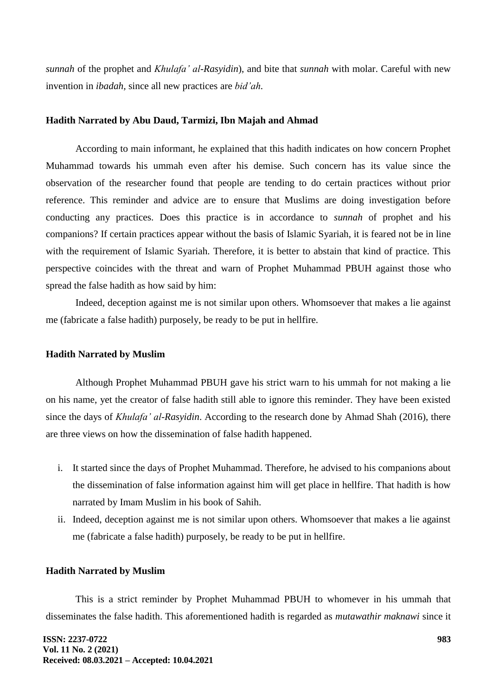*sunnah* of the prophet and *Khulafa' al-Rasyidin*), and bite that *sunnah* with molar. Careful with new invention in *ibadah,* since all new practices are *bid'ah.*

## **Hadith Narrated by Abu Daud, Tarmizi, Ibn Majah and Ahmad**

According to main informant, he explained that this hadith indicates on how concern Prophet Muhammad towards his ummah even after his demise. Such concern has its value since the observation of the researcher found that people are tending to do certain practices without prior reference. This reminder and advice are to ensure that Muslims are doing investigation before conducting any practices. Does this practice is in accordance to *sunnah* of prophet and his companions? If certain practices appear without the basis of Islamic Syariah, it is feared not be in line with the requirement of Islamic Syariah. Therefore, it is better to abstain that kind of practice. This perspective coincides with the threat and warn of Prophet Muhammad PBUH against those who spread the false hadith as how said by him:

Indeed, deception against me is not similar upon others. Whomsoever that makes a lie against me (fabricate a false hadith) purposely, be ready to be put in hellfire.

#### **Hadith Narrated by Muslim**

Although Prophet Muhammad PBUH gave his strict warn to his ummah for not making a lie on his name, yet the creator of false hadith still able to ignore this reminder. They have been existed since the days of *Khulafa' al-Rasyidin*. According to the research done by Ahmad Shah (2016), there are three views on how the dissemination of false hadith happened.

- i. It started since the days of Prophet Muhammad. Therefore, he advised to his companions about the dissemination of false information against him will get place in hellfire. That hadith is how narrated by Imam Muslim in his book of Sahih.
- ii. Indeed, deception against me is not similar upon others. Whomsoever that makes a lie against me (fabricate a false hadith) purposely, be ready to be put in hellfire.

#### **Hadith Narrated by Muslim**

This is a strict reminder by Prophet Muhammad PBUH to whomever in his ummah that disseminates the false hadith. This aforementioned hadith is regarded as *mutawathir maknawi* since it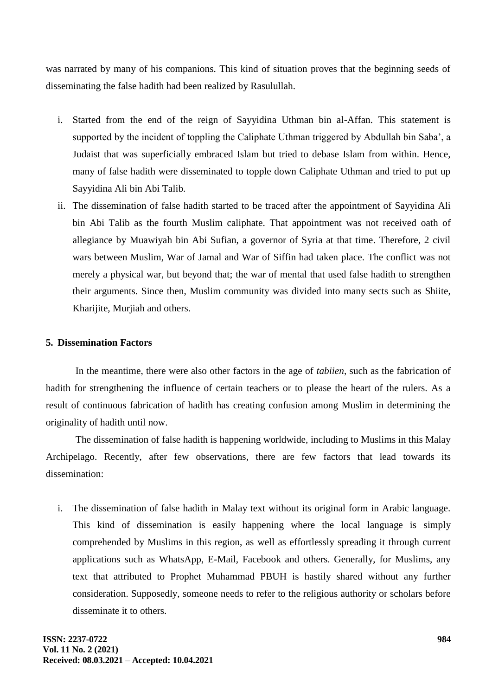was narrated by many of his companions. This kind of situation proves that the beginning seeds of disseminating the false hadith had been realized by Rasulullah.

- i. Started from the end of the reign of Sayyidina Uthman bin al-Affan. This statement is supported by the incident of toppling the Caliphate Uthman triggered by Abdullah bin Saba', a Judaist that was superficially embraced Islam but tried to debase Islam from within. Hence, many of false hadith were disseminated to topple down Caliphate Uthman and tried to put up Sayyidina Ali bin Abi Talib.
- ii. The dissemination of false hadith started to be traced after the appointment of Sayyidina Ali bin Abi Talib as the fourth Muslim caliphate. That appointment was not received oath of allegiance by Muawiyah bin Abi Sufian, a governor of Syria at that time. Therefore, 2 civil wars between Muslim, War of Jamal and War of Siffin had taken place. The conflict was not merely a physical war, but beyond that; the war of mental that used false hadith to strengthen their arguments. Since then, Muslim community was divided into many sects such as Shiite, Kharijite, Murjiah and others.

# **5. Dissemination Factors**

In the meantime, there were also other factors in the age of *tabiien*, such as the fabrication of hadith for strengthening the influence of certain teachers or to please the heart of the rulers. As a result of continuous fabrication of hadith has creating confusion among Muslim in determining the originality of hadith until now.

The dissemination of false hadith is happening worldwide, including to Muslims in this Malay Archipelago. Recently, after few observations, there are few factors that lead towards its dissemination:

i. The dissemination of false hadith in Malay text without its original form in Arabic language. This kind of dissemination is easily happening where the local language is simply comprehended by Muslims in this region, as well as effortlessly spreading it through current applications such as WhatsApp, E-Mail, Facebook and others. Generally, for Muslims, any text that attributed to Prophet Muhammad PBUH is hastily shared without any further consideration. Supposedly, someone needs to refer to the religious authority or scholars before disseminate it to others.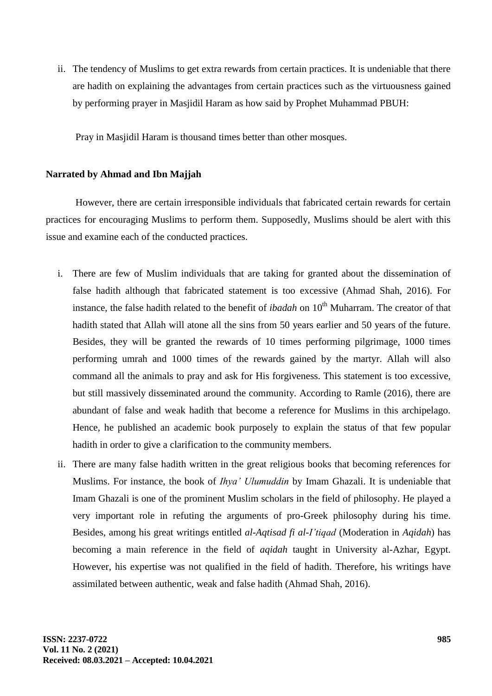ii. The tendency of Muslims to get extra rewards from certain practices. It is undeniable that there are hadith on explaining the advantages from certain practices such as the virtuousness gained by performing prayer in Masjidil Haram as how said by Prophet Muhammad PBUH:

Pray in Masjidil Haram is thousand times better than other mosques.

# **Narrated by Ahmad and Ibn Majjah**

However, there are certain irresponsible individuals that fabricated certain rewards for certain practices for encouraging Muslims to perform them. Supposedly, Muslims should be alert with this issue and examine each of the conducted practices.

- i. There are few of Muslim individuals that are taking for granted about the dissemination of false hadith although that fabricated statement is too excessive (Ahmad Shah, 2016). For instance, the false hadith related to the benefit of *ibadah* on 10<sup>th</sup> Muharram. The creator of that hadith stated that Allah will atone all the sins from 50 years earlier and 50 years of the future. Besides, they will be granted the rewards of 10 times performing pilgrimage, 1000 times performing umrah and 1000 times of the rewards gained by the martyr. Allah will also command all the animals to pray and ask for His forgiveness. This statement is too excessive, but still massively disseminated around the community. According to Ramle (2016), there are abundant of false and weak hadith that become a reference for Muslims in this archipelago. Hence, he published an academic book purposely to explain the status of that few popular hadith in order to give a clarification to the community members.
- ii. There are many false hadith written in the great religious books that becoming references for Muslims. For instance, the book of *Ihya' Ulumuddin* by Imam Ghazali. It is undeniable that Imam Ghazali is one of the prominent Muslim scholars in the field of philosophy. He played a very important role in refuting the arguments of pro-Greek philosophy during his time. Besides, among his great writings entitled *al-Aqtisad fi al-I'tiqad* (Moderation in *Aqidah*) has becoming a main reference in the field of *aqidah* taught in University al-Azhar, Egypt. However, his expertise was not qualified in the field of hadith. Therefore, his writings have assimilated between authentic, weak and false hadith (Ahmad Shah, 2016).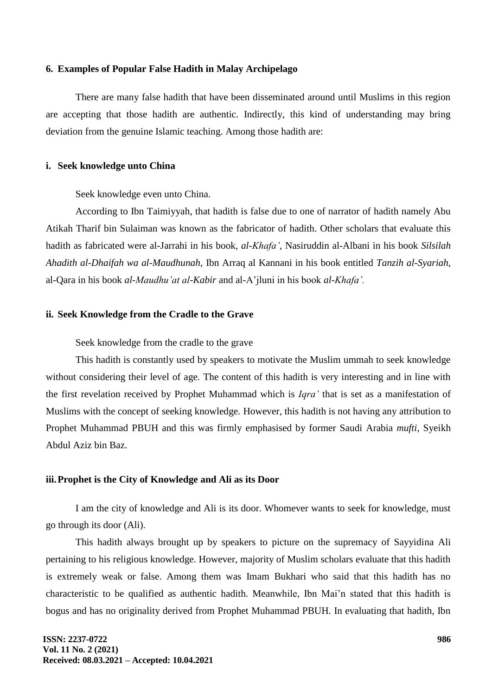#### **6. Examples of Popular False Hadith in Malay Archipelago**

There are many false hadith that have been disseminated around until Muslims in this region are accepting that those hadith are authentic. Indirectly, this kind of understanding may bring deviation from the genuine Islamic teaching. Among those hadith are:

#### **i. Seek knowledge unto China**

Seek knowledge even unto China.

According to Ibn Taimiyyah, that hadith is false due to one of narrator of hadith namely Abu Atikah Tharif bin Sulaiman was known as the fabricator of hadith. Other scholars that evaluate this hadith as fabricated were al-Jarrahi in his book, *al-Khafa'*, Nasiruddin al-Albani in his book *Silsilah Ahadith al-Dhaifah wa al-Maudhunah*, Ibn Arraq al Kannani in his book entitled *Tanzih al-Syariah*, al-Qara in his book *al-Maudhu'at al-Kabir* and al-A"jluni in his book *al-Khafa'.*

## **ii. Seek Knowledge from the Cradle to the Grave**

### Seek knowledge from the cradle to the grave

This hadith is constantly used by speakers to motivate the Muslim ummah to seek knowledge without considering their level of age. The content of this hadith is very interesting and in line with the first revelation received by Prophet Muhammad which is *Iqra'* that is set as a manifestation of Muslims with the concept of seeking knowledge. However, this hadith is not having any attribution to Prophet Muhammad PBUH and this was firmly emphasised by former Saudi Arabia *mufti,* Syeikh Abdul Aziz bin Baz.

### **iii.Prophet is the City of Knowledge and Ali as its Door**

I am the city of knowledge and Ali is its door. Whomever wants to seek for knowledge, must go through its door (Ali).

This hadith always brought up by speakers to picture on the supremacy of Sayyidina Ali pertaining to his religious knowledge. However, majority of Muslim scholars evaluate that this hadith is extremely weak or false. Among them was Imam Bukhari who said that this hadith has no characteristic to be qualified as authentic hadith. Meanwhile, Ibn Mai"n stated that this hadith is bogus and has no originality derived from Prophet Muhammad PBUH. In evaluating that hadith, Ibn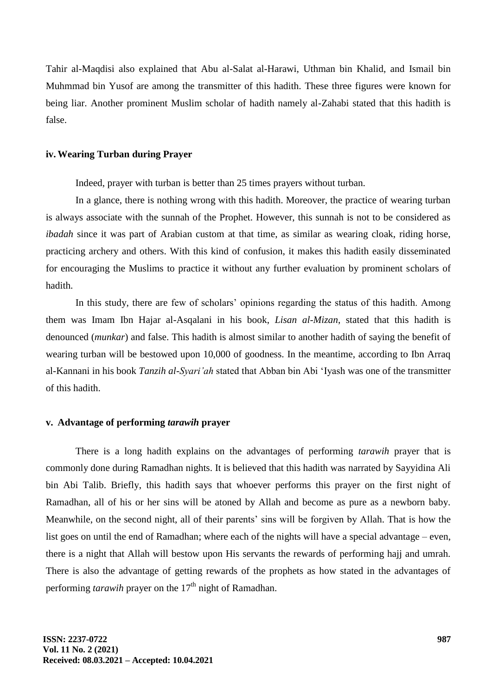Tahir al-Maqdisi also explained that Abu al-Salat al-Harawi, Uthman bin Khalid, and Ismail bin Muhmmad bin Yusof are among the transmitter of this hadith. These three figures were known for being liar. Another prominent Muslim scholar of hadith namely al-Zahabi stated that this hadith is false.

# **iv. Wearing Turban during Prayer**

Indeed, prayer with turban is better than 25 times prayers without turban.

In a glance, there is nothing wrong with this hadith. Moreover, the practice of wearing turban is always associate with the sunnah of the Prophet. However, this sunnah is not to be considered as *ibadah* since it was part of Arabian custom at that time, as similar as wearing cloak, riding horse, practicing archery and others. With this kind of confusion, it makes this hadith easily disseminated for encouraging the Muslims to practice it without any further evaluation by prominent scholars of hadith.

In this study, there are few of scholars' opinions regarding the status of this hadith. Among them was Imam Ibn Hajar al-Asqalani in his book, *Lisan al-Mizan*, stated that this hadith is denounced (*munkar*) and false. This hadith is almost similar to another hadith of saying the benefit of wearing turban will be bestowed upon 10,000 of goodness. In the meantime, according to Ibn Arraq al-Kannani in his book *Tanzih al-Syari'ah* stated that Abban bin Abi "Iyash was one of the transmitter of this hadith.

#### **v. Advantage of performing** *tarawih* **prayer**

There is a long hadith explains on the advantages of performing *tarawih* prayer that is commonly done during Ramadhan nights. It is believed that this hadith was narrated by Sayyidina Ali bin Abi Talib. Briefly, this hadith says that whoever performs this prayer on the first night of Ramadhan, all of his or her sins will be atoned by Allah and become as pure as a newborn baby. Meanwhile, on the second night, all of their parents' sins will be forgiven by Allah. That is how the list goes on until the end of Ramadhan; where each of the nights will have a special advantage – even, there is a night that Allah will bestow upon His servants the rewards of performing hajj and umrah. There is also the advantage of getting rewards of the prophets as how stated in the advantages of performing *tarawih* prayer on the 17<sup>th</sup> night of Ramadhan.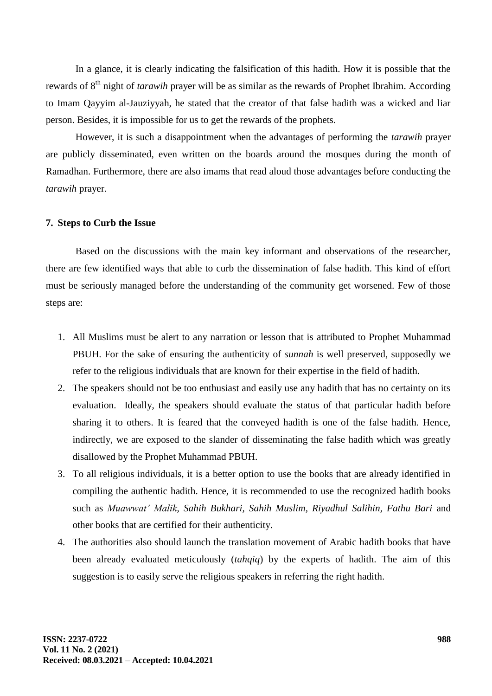In a glance, it is clearly indicating the falsification of this hadith. How it is possible that the rewards of 8th night of *tarawih* prayer will be as similar as the rewards of Prophet Ibrahim. According to Imam Qayyim al-Jauziyyah, he stated that the creator of that false hadith was a wicked and liar person. Besides, it is impossible for us to get the rewards of the prophets.

However, it is such a disappointment when the advantages of performing the *tarawih* prayer are publicly disseminated, even written on the boards around the mosques during the month of Ramadhan. Furthermore, there are also imams that read aloud those advantages before conducting the *tarawih* prayer.

## **7. Steps to Curb the Issue**

Based on the discussions with the main key informant and observations of the researcher, there are few identified ways that able to curb the dissemination of false hadith. This kind of effort must be seriously managed before the understanding of the community get worsened. Few of those steps are:

- 1. All Muslims must be alert to any narration or lesson that is attributed to Prophet Muhammad PBUH. For the sake of ensuring the authenticity of *sunnah* is well preserved, supposedly we refer to the religious individuals that are known for their expertise in the field of hadith.
- 2. The speakers should not be too enthusiast and easily use any hadith that has no certainty on its evaluation. Ideally, the speakers should evaluate the status of that particular hadith before sharing it to others. It is feared that the conveyed hadith is one of the false hadith. Hence, indirectly, we are exposed to the slander of disseminating the false hadith which was greatly disallowed by the Prophet Muhammad PBUH.
- 3. To all religious individuals, it is a better option to use the books that are already identified in compiling the authentic hadith. Hence, it is recommended to use the recognized hadith books such as *Muawwat' Malik*, *Sahih Bukhari, Sahih Muslim, Riyadhul Salihin, Fathu Bari* and other books that are certified for their authenticity.
- 4. The authorities also should launch the translation movement of Arabic hadith books that have been already evaluated meticulously (*tahqiq*) by the experts of hadith. The aim of this suggestion is to easily serve the religious speakers in referring the right hadith.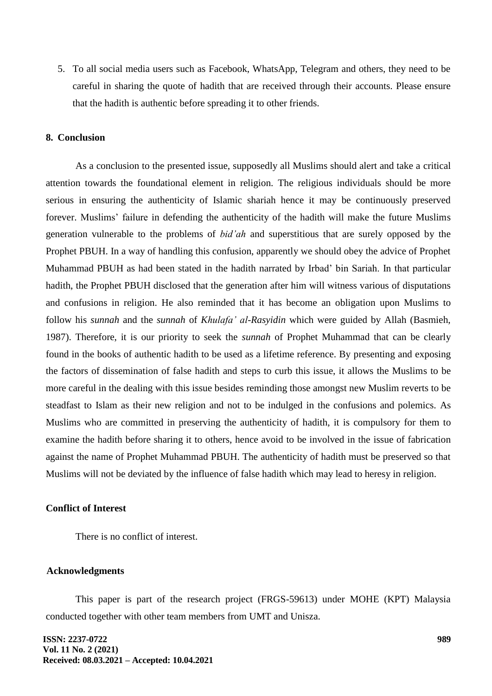5. To all social media users such as Facebook, WhatsApp, Telegram and others, they need to be careful in sharing the quote of hadith that are received through their accounts. Please ensure that the hadith is authentic before spreading it to other friends.

#### **8. Conclusion**

As a conclusion to the presented issue, supposedly all Muslims should alert and take a critical attention towards the foundational element in religion. The religious individuals should be more serious in ensuring the authenticity of Islamic shariah hence it may be continuously preserved forever. Muslims' failure in defending the authenticity of the hadith will make the future Muslims generation vulnerable to the problems of *bid'ah* and superstitious that are surely opposed by the Prophet PBUH. In a way of handling this confusion, apparently we should obey the advice of Prophet Muhammad PBUH as had been stated in the hadith narrated by Irbad" bin Sariah. In that particular hadith, the Prophet PBUH disclosed that the generation after him will witness various of disputations and confusions in religion. He also reminded that it has become an obligation upon Muslims to follow his *sunnah* and the *sunnah* of *Khulafa' al-Rasyidin* which were guided by Allah (Basmieh, 1987). Therefore, it is our priority to seek the *sunnah* of Prophet Muhammad that can be clearly found in the books of authentic hadith to be used as a lifetime reference. By presenting and exposing the factors of dissemination of false hadith and steps to curb this issue, it allows the Muslims to be more careful in the dealing with this issue besides reminding those amongst new Muslim reverts to be steadfast to Islam as their new religion and not to be indulged in the confusions and polemics. As Muslims who are committed in preserving the authenticity of hadith, it is compulsory for them to examine the hadith before sharing it to others, hence avoid to be involved in the issue of fabrication against the name of Prophet Muhammad PBUH. The authenticity of hadith must be preserved so that Muslims will not be deviated by the influence of false hadith which may lead to heresy in religion.

# **Conflict of Interest**

There is no conflict of interest.

#### **Acknowledgments**

This paper is part of the research project (FRGS-59613) under MOHE (KPT) Malaysia conducted together with other team members from UMT and Unisza.

**ISSN: 2237-0722 Vol. 11 No. 2 (2021) Received: 08.03.2021 – Accepted: 10.04.2021**